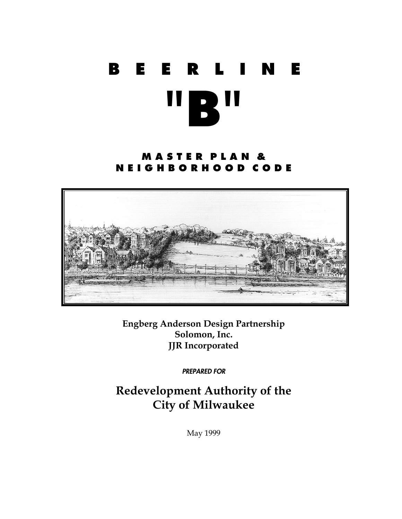# **BEERLINE "B"**

# **M A S T E R P L A N & N E I G H B O R H O O D C O D E**



**Engberg Anderson Design Partnership Solomon, Inc. JJR Incorporated** 

*PREPARED FOR* 

**Redevelopment Authority of the City of Milwaukee** 

May 1999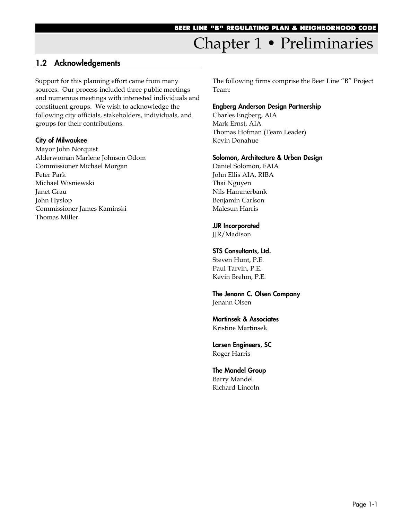# Chapter 1 • Preliminaries

## **1.2 Acknowledgements**

Support for this planning effort came from many sources. Our process included three public meetings and numerous meetings with interested individuals and constituent groups. We wish to acknowledge the following city officials, stakeholders, individuals, and groups for their contributions.

#### **City of Milwaukee**

Mayor John Norquist Alderwoman Marlene Johnson Odom Commissioner Michael Morgan Peter Park Michael Wisniewski Janet Grau John Hyslop Commissioner James Kaminski Thomas Miller

The following firms comprise the Beer Line "B" Project Team:

#### **Engberg Anderson Design Partnership**

Charles Engberg, AIA Mark Ernst, AIA Thomas Hofman (Team Leader) Kevin Donahue

#### **Solomon, Architecture & Urban Design**

Daniel Solomon, FAIA John Ellis AIA, RIBA Thai Nguyen Nils Hammerbank Benjamin Carlson Malesun Harris

#### **JJR Incorporated**

JJR/Madison

#### **STS Consultants, Ltd.**

Steven Hunt, P.E. Paul Tarvin, P.E. Kevin Brehm, P.E.

**The Jenann C. Olsen Company** Jenann Olsen

**Martinsek & Associates** Kristine Martinsek

**Larsen Engineers, SC** Roger Harris

**The Mandel Group** Barry Mandel Richard Lincoln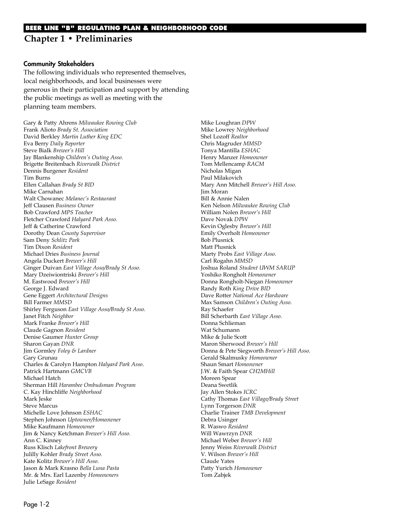#### **Community Stakeholders**

The following individuals who represented themselves, local neighborhoods, and local businesses were generous in their participation and support by attending the public meetings as well as meeting with the planning team members.

Gary & Patty Ahrens *Milwaukee Rowing Club* Frank Alioto *Brady St. Association* David Berkley *Martin Luther King EDC* Eva Berry *Daily Reporter* Steve Bialk *Brewer's Hill* Jay Blankenship *Children's Outing Asso.* Brigette Breitenbach *Riverwalk District* Dennis Burgener *Resident* Tim Burns Ellen Callahan *Brady St BID* Mike Carnahan Walt Chowanec *Melanec's Restaurant* Jeff Clausen *Business Owner* Bob Crawford *MPS Teacher* Fletcher Crawford *Halyard Park Asso.* Jeff & Catherine Crawford Dorothy Dean *County Supervisor* Sam Deny *Schlitz Park* Tim Dixon *Resident* Michael Dries *Business Journal* Angela Duckert *Brewer's Hill* Ginger Duivan *East Village Asso/Brady St Asso.* Mary Dzeiwiontriski *Brewer's Hill* M. Eastwood *Brewer's Hill* George J. Edward Gene Eggert *Architectural Designs* Bill Farmer *MMSD* Shirley Ferguson *East Village Asso/Brady St Asso.* Janet Fitch *Neighbor* Mark Franke *Brewer's Hill* Claude Gagnon *Resident* Denise Gaumer *Hunter Group* Sharon Gayan *DNR* Jim Gormley *Foley & Lardner* Gary Grunau Charles & Carolyn Hampton *Halyard Park Asso*. Patrick Hartmann *GMCVB* Michael Hatch Sherman Hill *Harambee Ombudsman Program* C. Kay Hinchliffe *Neighborhood* Mark Jeske Steve Marcus Michelle Love Johnson *ESHAC* Stephen Johnson *Uptowner/Homeowner* Mike Kaufmann *Homeowner* Jim & Nancy Ketchman *Brewer's Hill Asso.* Ann C. Kinney Russ Klisch *Lakefront Brewery* Julilly Kohler *Brady Street Asso.* Kate Kolitz *Brewer's Hill Asso.* Jason & Mark Krasno *Bella Luna Pasta* Mr. & Mrs. Earl Lazenby *Homeowners* Julie LeSage *Resident*

Mike Loughran *DPW* Mike Lowrey *Neighborhood* Shel Lozoff *Realtor* Chris Magruder *MMSD* Tonya Mantilla *ESHAC* Henry Manzer *Homeowner* Tom Mellencamp *RACM* Nicholas Migan Paul Milakovich Mary Ann Mitchell *Brewer's Hill Asso.* Jim Moran Bill & Annie Nalen Ken Nelson *Milwaukee Rowing Club* William Nolen *Brewer's Hill* Dave Novak *DPW* Kevin Oglesby *Brewer's Hill* Emily Overholt *Homeowner* Bob Plusnick Matt Plusnick Marty Probs *East Village Asso.* Carl Rogahn *MMSD* Joshua Roland *Student UWM SARUP* Yoshiko Rongholt *Homeowner* Donna Rongholt-Niegan *Homeowner* Randy Roth *King Drive BID* Dave Rotter *National Ace Hardware* Max Samson *Children's Outing Asso.* Ray Schaefer Bill Scherbarth *East Village Asso.* Donna Schlieman Wat Schumann Mike & Julie Scott Maron Sherwood *Brewer's Hill* Donna & Pete Siegworth *Brewer's Hill Asso.* Gerald Skalmusky *Homeowner* Shaun Smart *Homeowner* J.W. & Faith Spear *CH2MHill* Moreen Spear Deana Swetlik Jay Allen Stokes *ICRC* Cathy Thomas *East Village/Brady Street* Lynn Torgerson *DNR* Charlie Trainer *TMB Development* Debra Usinger R. Waswo *Resident* Will Wawrzyn *DNR* Michael Weber *Brewer's Hill* Jenny Weiss *Riverwalk District* V. Wilson *Brewer's Hill* Claude Yates Patty Yurich *Homeowner* Tom Zabjek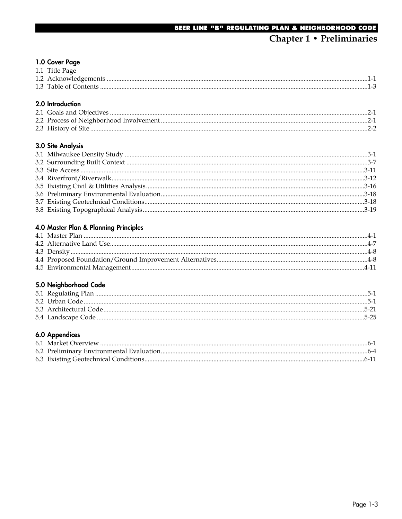#### 1.0 Cover Page

| 1.1 Title Page |  |
|----------------|--|
|                |  |
|                |  |
|                |  |

### 2.0 Introduction

#### 3.0 Site Analysis

#### 4.0 Master Plan & Planning Principles

#### 5.0 Neighborhood Code

#### 6.0 Appendices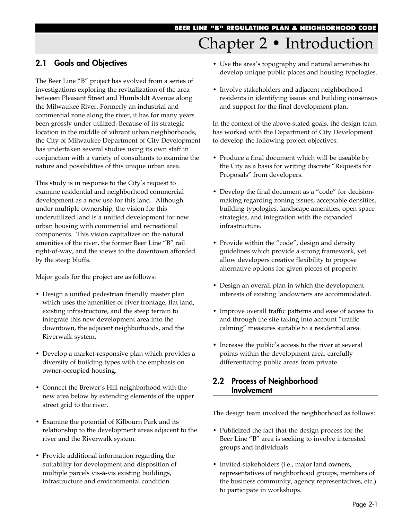# Chapter 2 • Introduction

# **2.1 Goals and Objectives**

The Beer Line "B" project has evolved from a series of investigations exploring the revitalization of the area between Pleasant Street and Humboldt Avenue along the Milwaukee River. Formerly an industrial and commercial zone along the river, it has for many years been grossly under utilized. Because of its strategic location in the middle of vibrant urban neighborhoods, the City of Milwaukee Department of City Development has undertaken several studies using its own staff in conjunction with a variety of consultants to examine the nature and possibilities of this unique urban area.

This study is in response to the City's request to examine residential and neighborhood commercial development as a new use for this land. Although under multiple ownership, the vision for this underutilized land is a unified development for new urban housing with commercial and recreational components. This vision capitalizes on the natural amenities of the river, the former Beer Line "B" rail right-of-way, and the views to the downtown afforded by the steep bluffs.

Major goals for the project are as follows:

- Design a unified pedestrian friendly master plan which uses the amenities of river frontage, flat land, existing infrastructure, and the steep terrain to integrate this new development area into the downtown, the adjacent neighborhoods, and the Riverwalk system.
- Develop a market-responsive plan which provides a diversity of building types with the emphasis on owner-occupied housing.
- Connect the Brewer's Hill neighborhood with the new area below by extending elements of the upper street grid to the river.
- Examine the potential of Kilbourn Park and its relationship to the development areas adjacent to the river and the Riverwalk system.
- Provide additional information regarding the suitability for development and disposition of multiple parcels vis-à-vis existing buildings, infrastructure and environmental condition.
- Use the area's topography and natural amenities to develop unique public places and housing typologies.
- Involve stakeholders and adjacent neighborhood residents in identifying issues and building consensus and support for the final development plan.

In the context of the above-stated goals, the design team has worked with the Department of City Development to develop the following project objectives:

- Produce a final document which will be useable by the City as a basis for writing discrete "Requests for Proposals" from developers.
- Develop the final document as a "code" for decisionmaking regarding zoning issues, acceptable densities, building typologies, landscape amenities, open space strategies, and integration with the expanded infrastructure.
- Provide within the "code", design and density guidelines which provide a strong framework, yet allow developers creative flexibility to propose alternative options for given pieces of property.
- Design an overall plan in which the development interests of existing landowners are accommodated.
- Improve overall traffic patterns and ease of access to and through the site taking into account "traffic calming" measures suitable to a residential area.
- Increase the public's access to the river at several points within the development area, carefully differentiating public areas from private.

## **2.2 Process of Neighborhood 2.2 Involvement**

The design team involved the neighborhood as follows:

- Publicized the fact that the design process for the Beer Line "B" area is seeking to involve interested groups and individuals.
- Invited stakeholders (i.e., major land owners, representatives of neighborhood groups, members of the business community, agency representatives, etc.) to participate in workshops.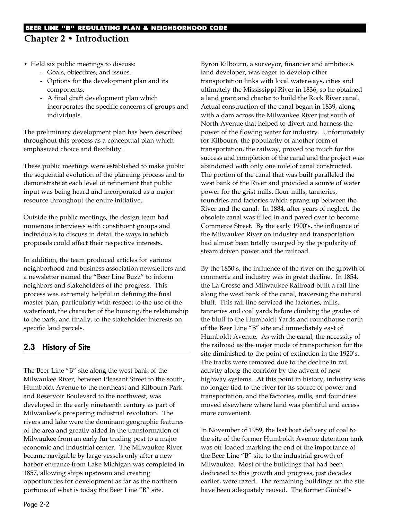# **BEER LINE "B" REGULATING PLAN & NEIGHBORHOOD CODE Chapter 2 • Introduction**

- Held six public meetings to discuss:
	- Goals, objectives, and issues.
	- Options for the development plan and its components.
	- A final draft development plan which incorporates the specific concerns of groups and individuals.

The preliminary development plan has been described throughout this process as a conceptual plan which emphasized choice and flexibility.

These public meetings were established to make public the sequential evolution of the planning process and to demonstrate at each level of refinement that public input was being heard and incorporated as a major resource throughout the entire initiative.

Outside the public meetings, the design team had numerous interviews with constituent groups and individuals to discuss in detail the ways in which proposals could affect their respective interests.

In addition, the team produced articles for various neighborhood and business association newsletters and a newsletter named the "Beer Line Buzz" to inform neighbors and stakeholders of the progress. This process was extremely helpful in defining the final master plan, particularly with respect to the use of the waterfront, the character of the housing, the relationship to the park, and finally, to the stakeholder interests on specific land parcels.

# **2.3 History of Site**

The Beer Line "B" site along the west bank of the Milwaukee River, between Pleasant Street to the south, Humboldt Avenue to the northeast and Kilbourn Park and Reservoir Boulevard to the northwest, was developed in the early nineteenth century as part of Milwaukee's prospering industrial revolution. The rivers and lake were the dominant geographic features of the area and greatly aided in the transformation of Milwaukee from an early fur trading post to a major economic and industrial center. The Milwaukee River became navigable by large vessels only after a new harbor entrance from Lake Michigan was completed in 1857, allowing ships upstream and creating opportunities for development as far as the northern portions of what is today the Beer Line "B" site.

Byron Kilbourn, a surveyor, financier and ambitious land developer, was eager to develop other transportation links with local waterways, cities and ultimately the Mississippi River in 1836, so he obtained a land grant and charter to build the Rock River canal. Actual construction of the canal began in 1839, along with a dam across the Milwaukee River just south of North Avenue that helped to divert and harness the power of the flowing water for industry. Unfortunately for Kilbourn, the popularity of another form of transportation, the railway, proved too much for the success and completion of the canal and the project was abandoned with only one mile of canal constructed. The portion of the canal that was built paralleled the west bank of the River and provided a source of water power for the grist mills, flour mills, tanneries, foundries and factories which sprang up between the River and the canal. In 1884, after years of neglect, the obsolete canal was filled in and paved over to become Commerce Street. By the early 1900's, the influence of the Milwaukee River on industry and transportation had almost been totally usurped by the popularity of steam driven power and the railroad.

By the 1850's, the influence of the river on the growth of commerce and industry was in great decline. In 1854, the La Crosse and Milwaukee Railroad built a rail line along the west bank of the canal, traversing the natural bluff. This rail line serviced the factories, mills, tanneries and coal yards before climbing the grades of the bluff to the Humboldt Yards and roundhouse north of the Beer Line "B" site and immediately east of Humboldt Avenue. As with the canal, the necessity of the railroad as the major mode of transportation for the site diminished to the point of extinction in the 1920's. The tracks were removed due to the decline in rail activity along the corridor by the advent of new highway systems. At this point in history, industry was no longer tied to the river for its source of power and transportation, and the factories, mills, and foundries moved elsewhere where land was plentiful and access more convenient.

In November of 1959, the last boat delivery of coal to the site of the former Humboldt Avenue detention tank was off-loaded marking the end of the importance of the Beer Line "B" site to the industrial growth of Milwaukee. Most of the buildings that had been dedicated to this growth and progress, just decades earlier, were razed. The remaining buildings on the site have been adequately reused. The former Gimbel's